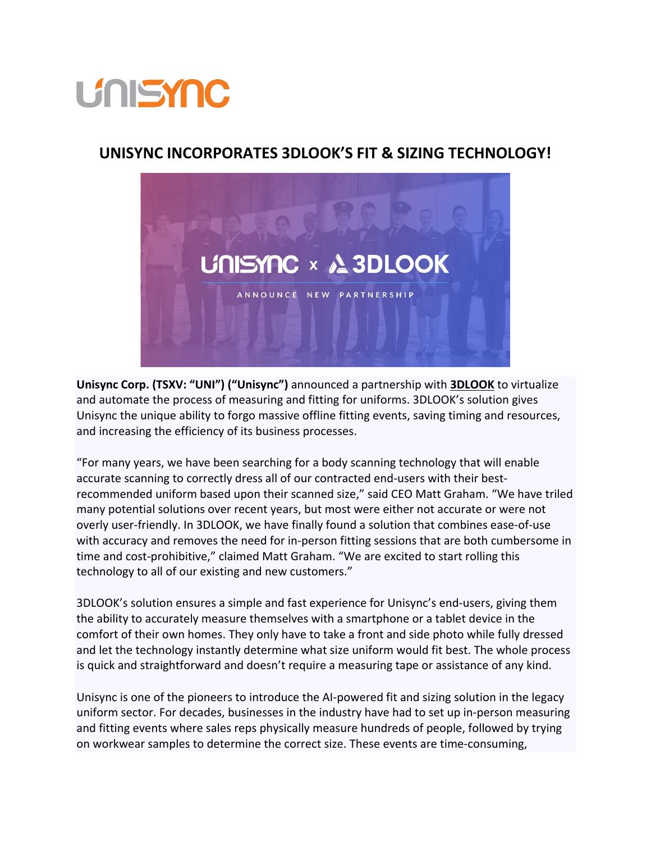## **UNISYNC**

## **UNISYNC INCORPORATES 3DLOOK'S FIT & SIZING TECHNOLOGY!**



**Unisync Corp. (TSXV: "UNI") ("Unisync")** announced a partnership with **[3DLOOK](https://3dlook.me/)** to virtualize and automate the process of measuring and fitting for uniforms. 3DLOOK's solution gives Unisync the unique ability to forgo massive offline fitting events, saving timing and resources, and increasing the efficiency of its business processes.

"For many years, we have been searching for a body scanning technology that will enable accurate scanning to correctly dress all of our contracted end-users with their bestrecommended uniform based upon their scanned size," said CEO Matt Graham. "We have triled many potential solutions over recent years, but most were either not accurate or were not overly user-friendly. In 3DLOOK, we have finally found a solution that combines ease-of-use with accuracy and removes the need for in-person fitting sessions that are both cumbersome in time and cost-prohibitive," claimed Matt Graham. "We are excited to start rolling this technology to all of our existing and new customers."

3DLOOK's solution ensures a simple and fast experience for Unisync's end-users, giving them the ability to accurately measure themselves with a smartphone or a tablet device in the comfort of their own homes. They only have to take a front and side photo while fully dressed and let the technology instantly determine what size uniform would fit best. The whole process is quick and straightforward and doesn't require a measuring tape or assistance of any kind.

Unisync is one of the pioneers to introduce the AI-powered fit and sizing solution in the legacy uniform sector. For decades, businesses in the industry have had to set up in-person measuring and fitting events where sales reps physically measure hundreds of people, followed by trying on workwear samples to determine the correct size. These events are time-consuming,